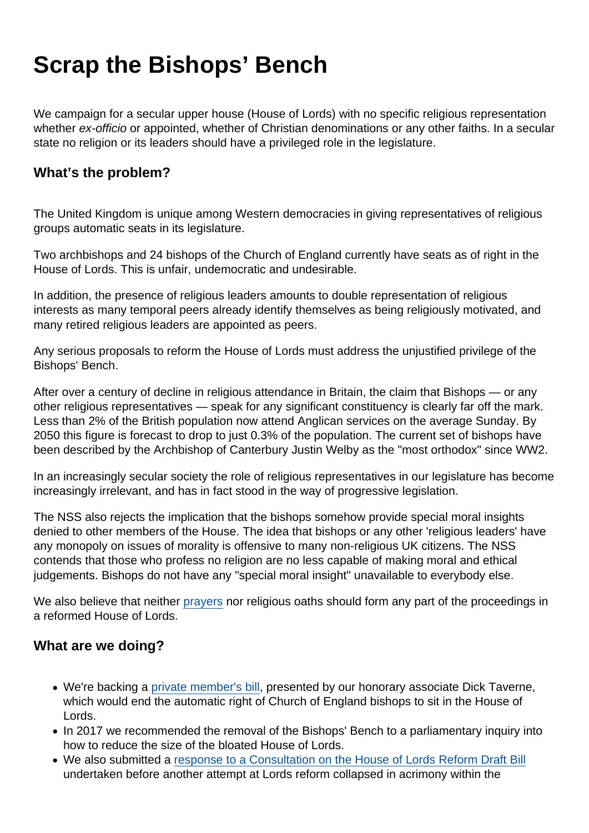## Scrap the Bishops' Bench

We campaign for a secular upper house (House of Lords) with no specific religious representation whether ex-officio or appointed, whether of Christian denominations or any other faiths. In a secular state no religion or its leaders should have a privileged role in the legislature.

## What's the problem?

The United Kingdom is unique among Western democracies in giving representatives of religious groups automatic seats in its legislature.

Two archbishops and 24 bishops of the Church of England currently have seats as of right in the House of Lords. This is unfair, undemocratic and undesirable.

In addition, the presence of religious leaders amounts to double representation of religious interests as many temporal peers already identify themselves as being religiously motivated, and many retired religious leaders are appointed as peers.

Any serious proposals to reform the House of Lords must address the unjustified privilege of the Bishops' Bench.

After over a century of decline in religious attendance in Britain, the claim that Bishops — or any other religious representatives — speak for any significant constituency is clearly far off the mark. Less than 2% of the British population now attend Anglican services on the average Sunday. By 2050 this figure is forecast to drop to just 0.3% of the population. The current set of bishops have been described by the Archbishop of Canterbury Justin Welby as the "most orthodox" since WW2.

In an increasingly secular society the role of religious representatives in our legislature has become increasingly irrelevant, and has in fact stood in the way of progressive legislation.

The NSS also rejects the implication that the bishops somehow provide special moral insights denied to other members of the House. The idea that bishops or any other 'religious leaders' have any monopoly on issues of morality is offensive to many non-religious UK citizens. The NSS contends that those who profess no religion are no less capable of making moral and ethical judgements. Bishops do not have any "special moral insight" unavailable to everybody else.

We also believe that neither [prayers](https://www.secularism.org.uk/end-government-prayers/) nor religious oaths should form any part of the proceedings in a reformed House of Lords.

What are we doing?

- We're backing a [private member's bill,](https://www.secularism.org.uk/news/2020/01/bill-to-end-bishops-automatic-right-to-sit-in-lords-introduced) presented by our honorary associate Dick Taverne, which would end the automatic right of Church of England bishops to sit in the House of Lords.
- In 2017 we recommended the removal of the Bishops' Bench to a parliamentary inquiry into how to reduce the size of the bloated House of Lords.
- We also submitted a [response to a Consultation on the House of Lords Reform Draft Bill](https://www.secularism.org.uk/uploads/response-to-the-consultation-on-the-house-of-lords-reform-draft-bill.pdf) undertaken before another attempt at Lords reform collapsed in acrimony within the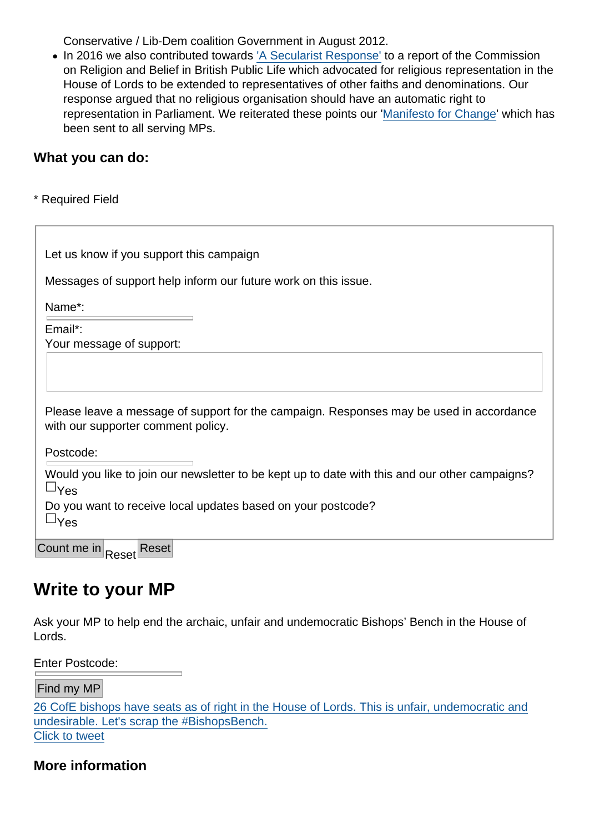[Conservative / Lib-Dem coalition Government in August 2012.](https://twitter.com/intent/tweet?url=https://www.secularism.org.uk/scrap-bishops-bench/&text=26+CofE+bishops+have+seats+as+of+right+in+the+House+of+Lords.+This+is+unfair,+undemocratic+and+undesirable.+Let)

• In 2016 we also contributed towards ['A Secularist Response'](http://www2.warwick.ac.uk/fac/soc/pais/people/kettell/a-secularist-response/a-secularist-response.pdf) to a report of the Commission on Religion and Belief in British Public Life which advocated for religious representation in the House of Lords to be extended to representatives of other faiths and denominations. Our response argued that no religious organisation should have an automatic right to representation in Parliament. We reiterated these points our '[Manifesto for Change](https://www.secularism.org.uk/uploads/rethinking-religion-and-belief-in-public-life-a-manifesto-for-change.pdf)' which has been sent to all serving MPs.

What you can do:

\* Required Field

| Let us know if you support this campaign                                                                                      |
|-------------------------------------------------------------------------------------------------------------------------------|
| Messages of support help inform our future work on this issue.                                                                |
| Name*:                                                                                                                        |
| Email*:                                                                                                                       |
| Your message of support:                                                                                                      |
| Please leave a message of support for the campaign. Responses may be used in accordance<br>with our supporter comment policy. |
| Postcode:                                                                                                                     |
| Would you like to join our newsletter to be kept up to date with this and our other campaigns?<br>$8y_{es}$                   |
| Do you want to receive local updates based on your postcode?<br>$8y_{es}$                                                     |
| Count me in<br>Reset<br>Reset                                                                                                 |

## Write to your MP

Ask your MP to help end the archaic, unfair and undemocratic Bishops' Bench in the House of Lords.

Enter Postcode:

Find my MP

26 CofE bishops have seats as of right in the House of Lords. This is unfair, undemocratic and undesirable. Let's scrap the #BishopsBench. Click to tweet

More information